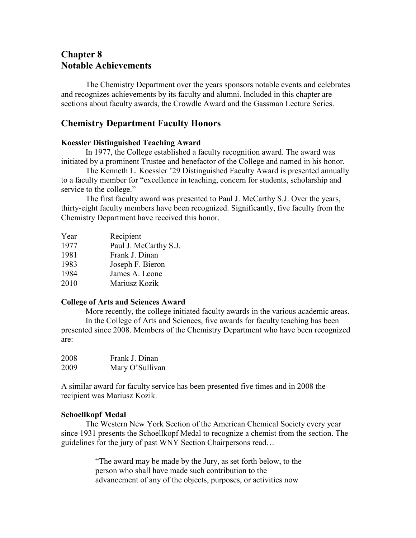# **Chapter 8 Notable Achievements**

The Chemistry Department over the years sponsors notable events and celebrates and recognizes achievements by its faculty and alumni. Included in this chapter are sections about faculty awards, the Crowdle Award and the Gassman Lecture Series.

# **Chemistry Department Faculty Honors**

# **Koessler Distinguished Teaching Award**

In 1977, the College established a faculty recognition award. The award was initiated by a prominent Trustee and benefactor of the College and named in his honor.

The Kenneth L. Koessler '29 Distinguished Faculty Award is presented annually to a faculty member for "excellence in teaching, concern for students, scholarship and service to the college."

The first faculty award was presented to Paul J. McCarthy S.J. Over the years, thirty-eight faculty members have been recognized. Significantly, five faculty from the Chemistry Department have received this honor.

| Year | Recipient             |
|------|-----------------------|
| 1977 | Paul J. McCarthy S.J. |
| 1981 | Frank J. Dinan        |
| 1983 | Joseph F. Bieron      |
| 1984 | James A. Leone        |
| 2010 | Mariusz Kozik         |

# **College of Arts and Sciences Award**

More recently, the college initiated faculty awards in the various academic areas. In the College of Arts and Sciences, five awards for faculty teaching has been presented since 2008. Members of the Chemistry Department who have been recognized are:

| 2008 | Frank J. Dinan  |
|------|-----------------|
| 2009 | Mary O'Sullivan |

A similar award for faculty service has been presented five times and in 2008 the recipient was Mariusz Kozik.

# **Schoellkopf Medal**

The Western New York Section of the American Chemical Society every year since 1931 presents the Schoellkopf Medal to recognize a chemist from the section. The guidelines for the jury of past WNY Section Chairpersons read…

> "The award may be made by the Jury, as set forth below, to the person who shall have made such contribution to the advancement of any of the objects, purposes, or activities now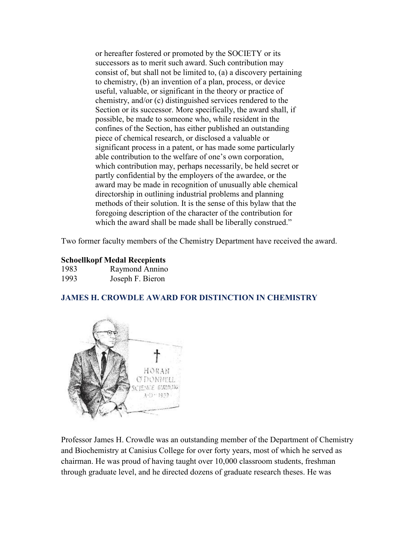or hereafter fostered or promoted by the SOCIETY or its successors as to merit such award. Such contribution may consist of, but shall not be limited to, (a) a discovery pertaining to chemistry, (b) an invention of a plan, process, or device useful, valuable, or significant in the theory or practice of chemistry, and/or (c) distinguished services rendered to the Section or its successor. More specifically, the award shall, if possible, be made to someone who, while resident in the confines of the Section, has either published an outstanding piece of chemical research, or disclosed a valuable or significant process in a patent, or has made some particularly able contribution to the welfare of one's own corporation, which contribution may, perhaps necessarily, be held secret or partly confidential by the employers of the awardee, or the award may be made in recognition of unusually able chemical directorship in outlining industrial problems and planning methods of their solution. It is the sense of this bylaw that the foregoing description of the character of the contribution for which the award shall be made shall be liberally construed."

Two former faculty members of the Chemistry Department have received the award.

# **Schoellkopf Medal Recepients**

| 1983 | Raymond Annino   |
|------|------------------|
| 1993 | Joseph F. Bieron |

# **JAMES H. CROWDLE AWARD FOR DISTINCTION IN CHEMISTRY**



Professor James H. Crowdle was an outstanding member of the Department of Chemistry and Biochemistry at Canisius College for over forty years, most of which he served as chairman. He was proud of having taught over 10,000 classroom students, freshman through graduate level, and he directed dozens of graduate research theses. He was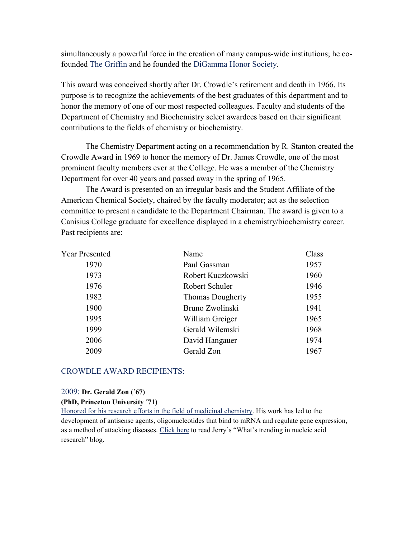simultaneously a powerful force in the creation of many campus-wide institutions; he cofounded [The Griffin](http://canisiusgriffin.com/) and he founded the [DiGamma Honor Society.](http://www.canisius.edu/alumni/awards/digamma/)

This award was conceived shortly after Dr. Crowdle's retirement and death in 1966. Its purpose is to recognize the achievements of the best graduates of this department and to honor the memory of one of our most respected colleagues. Faculty and students of the Department of Chemistry and Biochemistry select awardees based on their significant contributions to the fields of chemistry or biochemistry.

The Chemistry Department acting on a recommendation by R. Stanton created the Crowdle Award in 1969 to honor the memory of Dr. James Crowdle, one of the most prominent faculty members ever at the College. He was a member of the Chemistry Department for over 40 years and passed away in the spring of 1965.

The Award is presented on an irregular basis and the Student Affiliate of the American Chemical Society, chaired by the faculty moderator; act as the selection committee to present a candidate to the Department Chairman. The award is given to a Canisius College graduate for excellence displayed in a chemistry/biochemistry career. Past recipients are:

| <b>Year Presented</b> | Name                    | Class |
|-----------------------|-------------------------|-------|
| 1970                  | Paul Gassman            | 1957  |
| 1973                  | Robert Kuczkowski       | 1960  |
| 1976                  | Robert Schuler          | 1946  |
| 1982                  | <b>Thomas Dougherty</b> | 1955  |
| 1900                  | Bruno Zwolinski         | 1941  |
| 1995                  | William Greiger         | 1965  |
| 1999                  | Gerald Wilemski         | 1968  |
| 2006                  | David Hangauer          | 1974  |
| 2009                  | Gerald Zon              | 1967  |
|                       |                         |       |

#### CROWDLE AWARD RECIPIENTS:

#### 2009: **Dr. Gerald Zon (´67)**

**(PhD, Princeton University <sup>71</sup>)**<br>[Honored for his research efforts in the field of medicinal chemistry.](http://zon.trilinkbiotech.com/about-jerry-zon/) His work has led to the development of antisense agents, oligonucleotides that bind to mRNA and regulate gene expression, as a method of attacking diseases. [Click here](http://zon.trilinkbiotech.com/) to read Jerry's "What's trending in nucleic acid research" blog.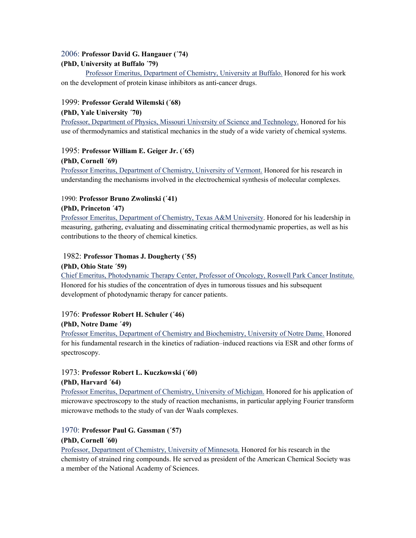### 2006: **Professor David G. Hangauer (´74)**

# **(PhD, University at Buffalo ´79)**

[Professor Emeritus, Department of Chemistry, University at Buffalo.](http://www.chemistry.buffalo.edu/people/faculty/hangauer/) Honored for his work on the development of protein kinase inhibitors as anti-cancer drugs.

# 1999: **Professor Gerald Wilemski (´68)**

### **(PhD, Yale University ´70)**

[Professor, Department of Physics, Missouri University](https://physics.mst.edu/department/profs/wilemski/) of Science and Technology. Honored for his use of thermodynamics and statistical mechanics in the study of a wide variety of chemical systems.

### 1995: **Professor William E. Geiger Jr. (´65)**

### **(PhD, Cornell ´69)**

[Professor Emeritus, Department of Chemistry, University of Vermont.](http://www.uvm.edu/%7Echem/faculty/?Page=geiger.html) Honored for his research in understanding the mechanisms involved in the electrochemical synthesis of molecular complexes.

# 1990: **Professor Bruno Zwolinski (´41)**

### **(PhD, Princeton ´47)**

[Professor Emeritus, Department of Chemistry, Texas A&M University.](http://paw.princeton.edu/issues/2011/04/06/sections/memorials/1184/index.xml?char=z) Honored for his leadership in measuring, gathering, evaluating and disseminating critical thermodynamic properties, as well as his contributions to the theory of chemical kinetics.

# 1982: **Professor Thomas J. Dougherty (´55)**

#### **(PhD, Ohio State ´59)**

[Chief Emeritus, Photodynamic Therapy Center, Professor of Oncology, Roswell Park Cancer Institute.](http://www.roswellpark.edu/thomas-dougherty) Honored for his studies of the concentration of dyes in tumorous tissues and his subsequent development of photodynamic therapy for cancer patients.

# 1976: **Professor Robert H. Schuler (´46)**

### **(PhD, Notre Dame ´49)**

[Professor Emeritus, Department of Chemistry and Biochemistry, University of Notre Dame.](http://chemistry.nd.edu/people/robert-schuler/) Honored for his fundamental research in the kinetics of radiation–induced reactions via ESR and other forms of spectroscopy.

### 1973: **Professor Robert L. Kuczkowski (´60) (PhD, Harvard ´64)**

[Professor Emeritus, Department of Chemistry, University of Michigan.](http://www.lsa.umich.edu/chem/people/emeritus/ci.kuczkowskirobert_ci.detail) Honored for his application of microwave spectroscopy to the study of reaction mechanisms, in particular applying Fourier transform microwave methods to the study of van der Waals complexes.

### 1970: **Professor Paul G. Gassman (´57) (PhD, Cornell ´60)**

[Professor, Department of Chemistry, University of Minnesota.](https://www.chem.umn.edu/seminar/GassmanObitUSenate.htm) Honored for his research in the chemistry of strained ring compounds. He served as president of the American Chemical Society was a member of the National Academy of Sciences.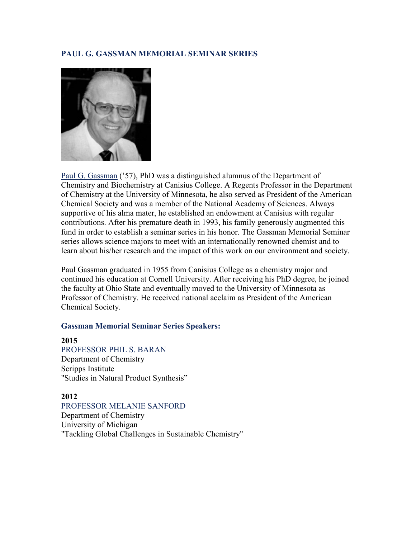# **PAUL G. GASSMAN MEMORIAL SEMINAR SERIES**



[Paul G. Gassman](https://www.chem.umn.edu/seminar/GassmanObitUSenate.htm) ('57), PhD was a distinguished alumnus of the Department of Chemistry and Biochemistry at Canisius College. A Regents Professor in the Department of Chemistry at the University of Minnesota, he also served as President of the American Chemical Society and was a member of the National Academy of Sciences. Always supportive of his alma mater, he established an endowment at Canisius with regular contributions. After his premature death in 1993, his family generously augmented this fund in order to establish a seminar series in his honor. The Gassman Memorial Seminar series allows science majors to meet with an internationally renowned chemist and to learn about his/her research and the impact of this work on our environment and society.

Paul Gassman graduated in 1955 from Canisius College as a chemistry major and continued his education at Cornell University. After receiving his PhD degree, he joined the faculty at Ohio State and eventually moved to the University of Minnesota as Professor of Chemistry. He received national acclaim as President of the American Chemical Society.

### **Gassman Memorial Seminar Series Speakers:**

### **2015**

[PROFESSOR PHIL S. BARAN](http://www.scripps.edu/baran/html/home.html) Department of Chemistry Scripps Institute "Studies in Natural Product Synthesis"

# **2012**

[PROFESSOR MELANIE SANFORD](http://www.lsa.umich.edu/chem/people/faculty/ci.sanfordmelanie_ci.detail) Department of Chemistry University of Michigan "Tackling Global Challenges in Sustainable Chemistry"